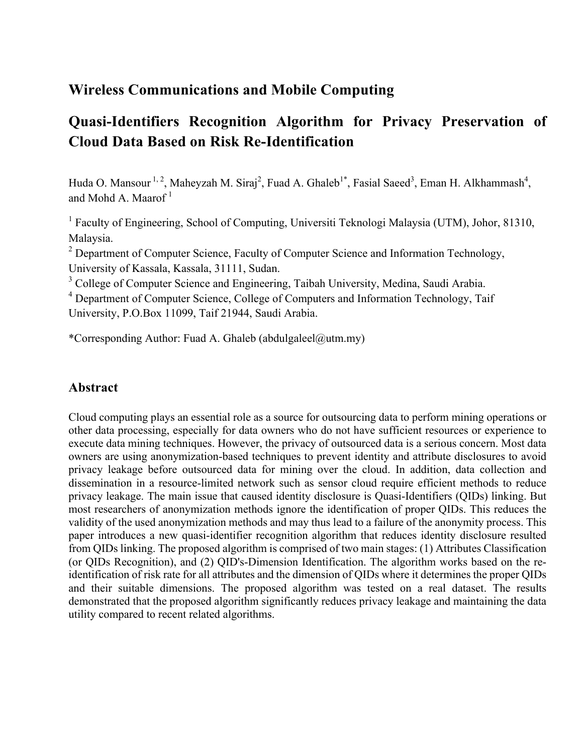# **Wireless Communications and Mobile Computing**

# **Quasi-Identifiers Recognition Algorithm for Privacy Preservation of Cloud Data Based on Risk Re-Identification**

Huda O. Mansour <sup>1, 2</sup>, Maheyzah M. Siraj<sup>2</sup>, Fuad A. Ghaleb<sup>1\*</sup>, Fasial Saeed<sup>3</sup>, Eman H. Alkhammash<sup>4</sup>, and Mohd A. Maarof $<sup>1</sup>$ </sup>

<sup>1</sup> Faculty of Engineering, School of Computing, Universiti Teknologi Malaysia (UTM), Johor, 81310, Malaysia.

 $2$  Department of Computer Science, Faculty of Computer Science and Information Technology, University of Kassala, Kassala, 31111, Sudan.

<sup>3</sup> College of Computer Science and Engineering, Taibah University, Medina, Saudi Arabia.

<sup>4</sup> Department of Computer Science, College of Computers and Information Technology, Taif University, P.O.Box 11099, Taif 21944, Saudi Arabia.

\*Corresponding Author: Fuad A. Ghaleb (abdulgaleel@utm.my)

### **Abstract**

Cloud computing plays an essential role as a source for outsourcing data to perform mining operations or other data processing, especially for data owners who do not have sufficient resources or experience to execute data mining techniques. However, the privacy of outsourced data is a serious concern. Most data owners are using anonymization-based techniques to prevent identity and attribute disclosures to avoid privacy leakage before outsourced data for mining over the cloud. In addition, data collection and dissemination in a resource-limited network such as sensor cloud require efficient methods to reduce privacy leakage. The main issue that caused identity disclosure is Quasi-Identifiers (QIDs) linking. But most researchers of anonymization methods ignore the identification of proper QIDs. This reduces the validity of the used anonymization methods and may thus lead to a failure of the anonymity process. This paper introduces a new quasi-identifier recognition algorithm that reduces identity disclosure resulted from QIDs linking. The proposed algorithm is comprised of two main stages: (1) Attributes Classification (or QIDs Recognition), and (2) QID's-Dimension Identification. The algorithm works based on the reidentification of risk rate for all attributes and the dimension of QIDs where it determines the proper QIDs and their suitable dimensions. The proposed algorithm was tested on a real dataset. The results demonstrated that the proposed algorithm significantly reduces privacy leakage and maintaining the data utility compared to recent related algorithms.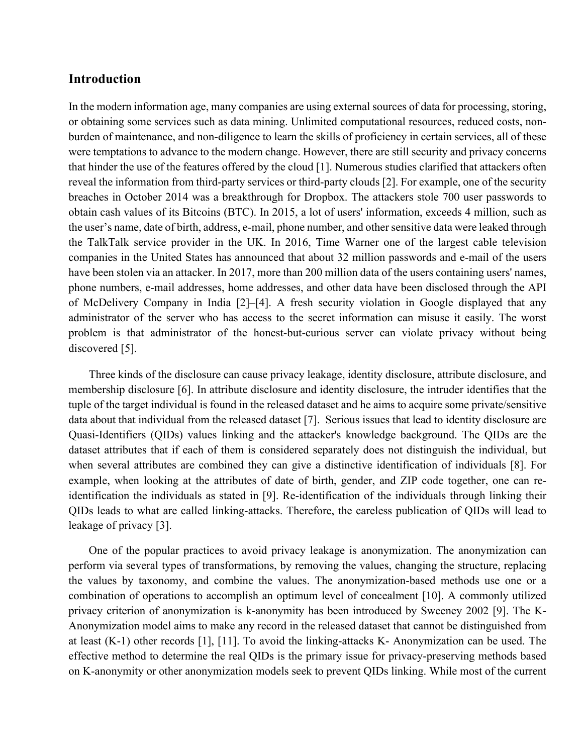### **Introduction**

In the modern information age, many companies are using external sources of data for processing, storing, or obtaining some services such as data mining. Unlimited computational resources, reduced costs, nonburden of maintenance, and non-diligence to learn the skills of proficiency in certain services, all of these were temptations to advance to the modern change. However, there are still security and privacy concerns that hinder the use of the features offered by the cloud [1]. Numerous studies clarified that attackers often reveal the information from third-party services or third-party clouds [2]. For example, one of the security breaches in October 2014 was a breakthrough for Dropbox. The attackers stole 700 user passwords to obtain cash values of its Bitcoins (BTC). In 2015, a lot of users' information, exceeds 4 million, such as the user's name, date of birth, address, e-mail, phone number, and other sensitive data were leaked through the TalkTalk service provider in the UK. In 2016, Time Warner one of the largest cable television companies in the United States has announced that about 32 million passwords and e-mail of the users have been stolen via an attacker. In 2017, more than 200 million data of the users containing users' names, phone numbers, e-mail addresses, home addresses, and other data have been disclosed through the API of McDelivery Company in India [2]–[4]. A fresh security violation in Google displayed that any administrator of the server who has access to the secret information can misuse it easily. The worst problem is that administrator of the honest-but-curious server can violate privacy without being discovered [5].

Three kinds of the disclosure can cause privacy leakage, identity disclosure, attribute disclosure, and membership disclosure [6]. In attribute disclosure and identity disclosure, the intruder identifies that the tuple of the target individual is found in the released dataset and he aims to acquire some private/sensitive data about that individual from the released dataset [7]. Serious issues that lead to identity disclosure are Quasi-Identifiers (QIDs) values linking and the attacker's knowledge background. The QIDs are the dataset attributes that if each of them is considered separately does not distinguish the individual, but when several attributes are combined they can give a distinctive identification of individuals [8]. For example, when looking at the attributes of date of birth, gender, and ZIP code together, one can reidentification the individuals as stated in [9]. Re-identification of the individuals through linking their QIDs leads to what are called linking-attacks. Therefore, the careless publication of QIDs will lead to leakage of privacy [3].

One of the popular practices to avoid privacy leakage is anonymization. The anonymization can perform via several types of transformations, by removing the values, changing the structure, replacing the values by taxonomy, and combine the values. The anonymization-based methods use one or a combination of operations to accomplish an optimum level of concealment [10]. A commonly utilized privacy criterion of anonymization is k-anonymity has been introduced by Sweeney 2002 [9]. The K-Anonymization model aims to make any record in the released dataset that cannot be distinguished from at least (K-1) other records [1], [11]. To avoid the linking-attacks K- Anonymization can be used. The effective method to determine the real QIDs is the primary issue for privacy-preserving methods based on K-anonymity or other anonymization models seek to prevent QIDs linking. While most of the current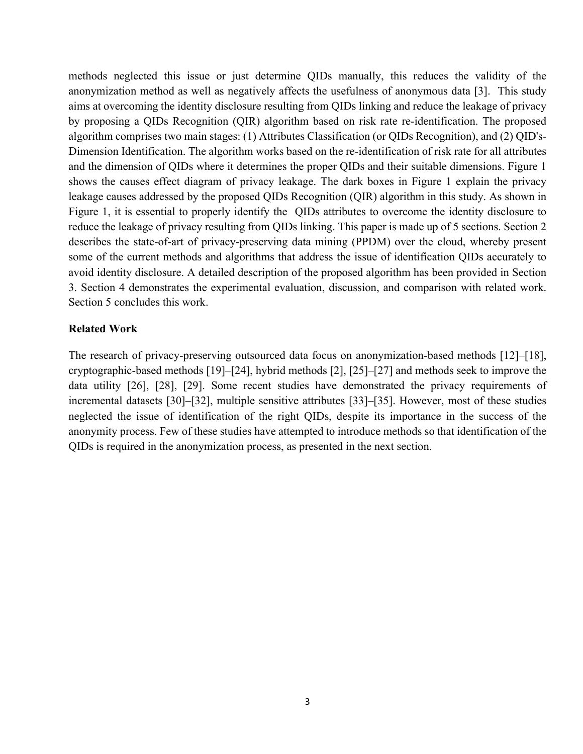methods neglected this issue or just determine QIDs manually, this reduces the validity of the anonymization method as well as negatively affects the usefulness of anonymous data [3]. This study aims at overcoming the identity disclosure resulting from QIDs linking and reduce the leakage of privacy by proposing a QIDs Recognition (QIR) algorithm based on risk rate re-identification. The proposed algorithm comprises two main stages: (1) Attributes Classification (or QIDs Recognition), and (2) QID's-Dimension Identification. The algorithm works based on the re-identification of risk rate for all attributes and the dimension of QIDs where it determines the proper QIDs and their suitable dimensions. Figure 1 shows the causes effect diagram of privacy leakage. The dark boxes in Figure 1 explain the privacy leakage causes addressed by the proposed QIDs Recognition (QIR) algorithm in this study. As shown in Figure 1, it is essential to properly identify the QIDs attributes to overcome the identity disclosure to reduce the leakage of privacy resulting from QIDs linking. This paper is made up of 5 sections. Section 2 describes the state-of-art of privacy-preserving data mining (PPDM) over the cloud, whereby present some of the current methods and algorithms that address the issue of identification QIDs accurately to avoid identity disclosure. A detailed description of the proposed algorithm has been provided in Section 3. Section 4 demonstrates the experimental evaluation, discussion, and comparison with related work. Section 5 concludes this work.

#### **Related Work**

The research of privacy-preserving outsourced data focus on anonymization-based methods [12]–[18], cryptographic-based methods [19]–[24], hybrid methods [2], [25]–[27] and methods seek to improve the data utility [26], [28], [29]. Some recent studies have demonstrated the privacy requirements of incremental datasets [30]–[32], multiple sensitive attributes [33]–[35]. However, most of these studies neglected the issue of identification of the right QIDs, despite its importance in the success of the anonymity process. Few of these studies have attempted to introduce methods so that identification of the QIDs is required in the anonymization process, as presented in the next section.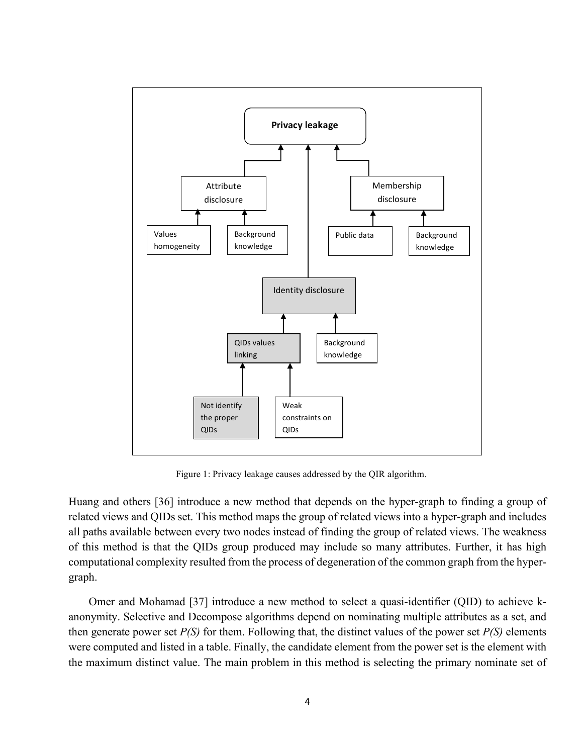

Figure 1: Privacy leakage causes addressed by the QIR algorithm.

Huang and others [36] introduce a new method that depends on the hyper-graph to finding a group of related views and QIDs set. This method maps the group of related views into a hyper-graph and includes all paths available between every two nodes instead of finding the group of related views. The weakness of this method is that the QIDs group produced may include so many attributes. Further, it has high computational complexity resulted from the process of degeneration of the common graph from the hypergraph.

Omer and Mohamad [37] introduce a new method to select a quasi-identifier (QID) to achieve kanonymity. Selective and Decompose algorithms depend on nominating multiple attributes as a set, and then generate power set *P(S)* for them. Following that, the distinct values of the power set *P(S)* elements were computed and listed in a table. Finally, the candidate element from the power set is the element with the maximum distinct value. The main problem in this method is selecting the primary nominate set of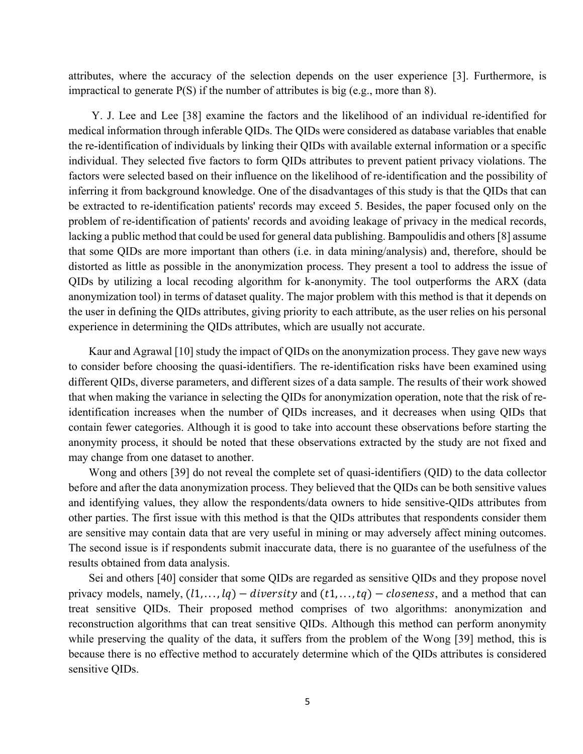attributes, where the accuracy of the selection depends on the user experience [3]. Furthermore, is impractical to generate  $P(S)$  if the number of attributes is big (e.g., more than 8).

Y. J. Lee and Lee [38] examine the factors and the likelihood of an individual re-identified for medical information through inferable QIDs. The QIDs were considered as database variables that enable the re-identification of individuals by linking their QIDs with available external information or a specific individual. They selected five factors to form QIDs attributes to prevent patient privacy violations. The factors were selected based on their influence on the likelihood of re-identification and the possibility of inferring it from background knowledge. One of the disadvantages of this study is that the QIDs that can be extracted to re-identification patients' records may exceed 5. Besides, the paper focused only on the problem of re-identification of patients' records and avoiding leakage of privacy in the medical records, lacking a public method that could be used for general data publishing. Bampoulidis and others[8] assume that some QIDs are more important than others (i.e. in data mining/analysis) and, therefore, should be distorted as little as possible in the anonymization process. They present a tool to address the issue of QIDs by utilizing a local recoding algorithm for k-anonymity. The tool outperforms the ARX (data anonymization tool) in terms of dataset quality. The major problem with this method is that it depends on the user in defining the QIDs attributes, giving priority to each attribute, as the user relies on his personal experience in determining the QIDs attributes, which are usually not accurate.

Kaur and Agrawal [10] study the impact of QIDs on the anonymization process. They gave new ways to consider before choosing the quasi-identifiers. The re-identification risks have been examined using different QIDs, diverse parameters, and different sizes of a data sample. The results of their work showed that when making the variance in selecting the QIDs for anonymization operation, note that the risk of reidentification increases when the number of QIDs increases, and it decreases when using QIDs that contain fewer categories. Although it is good to take into account these observations before starting the anonymity process, it should be noted that these observations extracted by the study are not fixed and may change from one dataset to another.

Wong and others [39] do not reveal the complete set of quasi-identifiers (QID) to the data collector before and after the data anonymization process. They believed that the QIDs can be both sensitive values and identifying values, they allow the respondents/data owners to hide sensitive-QIDs attributes from other parties. The first issue with this method is that the QIDs attributes that respondents consider them are sensitive may contain data that are very useful in mining or may adversely affect mining outcomes. The second issue is if respondents submit inaccurate data, there is no guarantee of the usefulness of the results obtained from data analysis.

Sei and others [40] consider that some QIDs are regarded as sensitive QIDs and they propose novel privacy models, namely,  $(l1, \ldots, lq)$  – diversity and  $(t1, \ldots, tq)$  – closeness, and a method that can treat sensitive QIDs. Their proposed method comprises of two algorithms: anonymization and reconstruction algorithms that can treat sensitive QIDs. Although this method can perform anonymity while preserving the quality of the data, it suffers from the problem of the Wong [39] method, this is because there is no effective method to accurately determine which of the QIDs attributes is considered sensitive QIDs.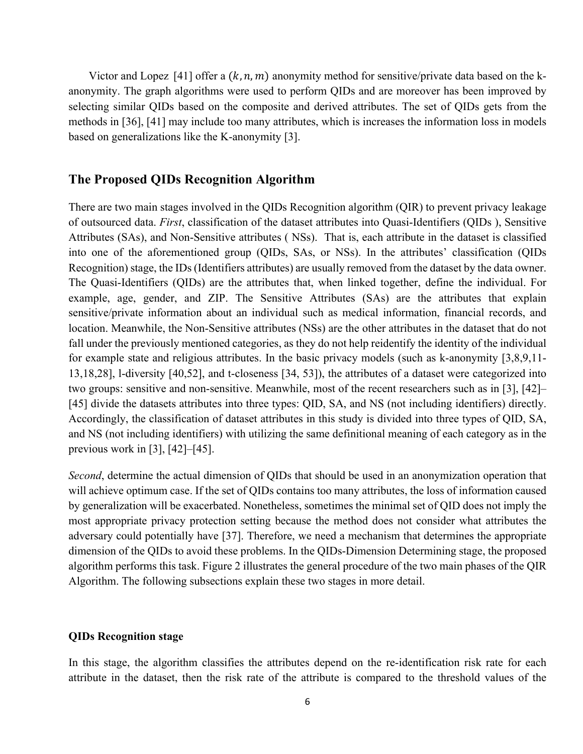Victor and Lopez [41] offer a  $(k, n, m)$  anonymity method for sensitive/private data based on the kanonymity. The graph algorithms were used to perform QIDs and are moreover has been improved by selecting similar QIDs based on the composite and derived attributes. The set of QIDs gets from the methods in [36], [41] may include too many attributes, which is increases the information loss in models based on generalizations like the K-anonymity [3].

#### **The Proposed QIDs Recognition Algorithm**

There are two main stages involved in the QIDs Recognition algorithm (QIR) to prevent privacy leakage of outsourced data. *First*, classification of the dataset attributes into Quasi-Identifiers (QIDs ), Sensitive Attributes (SAs), and Non-Sensitive attributes ( NSs). That is, each attribute in the dataset is classified into one of the aforementioned group (QIDs, SAs, or NSs). In the attributes' classification (QIDs Recognition) stage, the IDs (Identifiers attributes) are usually removed from the dataset by the data owner. The Quasi-Identifiers (QIDs) are the attributes that, when linked together, define the individual. For example, age, gender, and ZIP. The Sensitive Attributes (SAs) are the attributes that explain sensitive/private information about an individual such as medical information, financial records, and location. Meanwhile, the Non-Sensitive attributes (NSs) are the other attributes in the dataset that do not fall under the previously mentioned categories, as they do not help reidentify the identity of the individual for example state and religious attributes. In the basic privacy models (such as k-anonymity [3,8,9,11- 13,18,28], l-diversity [40,52], and t-closeness [34, 53]), the attributes of a dataset were categorized into two groups: sensitive and non-sensitive. Meanwhile, most of the recent researchers such as in [3], [42]– [45] divide the datasets attributes into three types: QID, SA, and NS (not including identifiers) directly. Accordingly, the classification of dataset attributes in this study is divided into three types of QID, SA, and NS (not including identifiers) with utilizing the same definitional meaning of each category as in the previous work in [3], [42]–[45].

*Second*, determine the actual dimension of QIDs that should be used in an anonymization operation that will achieve optimum case. If the set of QIDs contains too many attributes, the loss of information caused by generalization will be exacerbated. Nonetheless, sometimes the minimal set of QID does not imply the most appropriate privacy protection setting because the method does not consider what attributes the adversary could potentially have [37]. Therefore, we need a mechanism that determines the appropriate dimension of the QIDs to avoid these problems. In the QIDs-Dimension Determining stage, the proposed algorithm performs this task. Figure 2 illustrates the general procedure of the two main phases of the QIR Algorithm. The following subsections explain these two stages in more detail.

#### **QIDs Recognition stage**

In this stage, the algorithm classifies the attributes depend on the re-identification risk rate for each attribute in the dataset, then the risk rate of the attribute is compared to the threshold values of the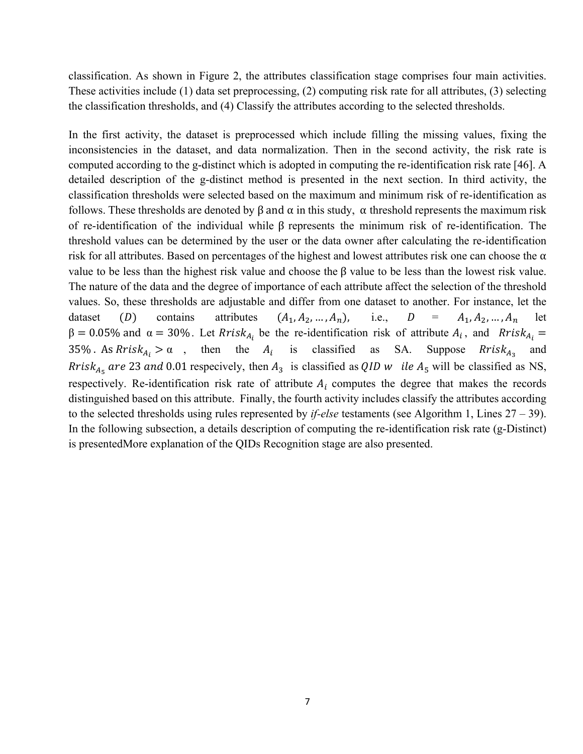classification. As shown in Figure 2, the attributes classification stage comprises four main activities. These activities include (1) data set preprocessing, (2) computing risk rate for all attributes, (3) selecting the classification thresholds, and (4) Classify the attributes according to the selected thresholds.

In the first activity, the dataset is preprocessed which include filling the missing values, fixing the inconsistencies in the dataset, and data normalization. Then in the second activity, the risk rate is computed according to the g-distinct which is adopted in computing the re-identification risk rate [46]. A detailed description of the g-distinct method is presented in the next section. In third activity, the classification thresholds were selected based on the maximum and minimum risk of re-identification as follows. These thresholds are denoted by  $\beta$  and  $\alpha$  in this study,  $\alpha$  threshold represents the maximum risk of re-identification of the individual while β represents the minimum risk of re-identification. The threshold values can be determined by the user or the data owner after calculating the re-identification risk for all attributes. Based on percentages of the highest and lowest attributes risk one can choose the  $\alpha$ value to be less than the highest risk value and choose the β value to be less than the lowest risk value. The nature of the data and the degree of importance of each attribute affect the selection of the threshold values. So, these thresholds are adjustable and differ from one dataset to another. For instance, let the dataset (D) contains attributes  $(A_1, A_2, ..., A_n)$ , i.e.,  $D = A_1, A_2, ..., A_n$  let  $β = 0.05%$  and  $α = 30%$ . Let Rrisk<sub>Ai</sub> be the re-identification risk of attribute  $A_i$ , and Rrisk<sub>Ai</sub> = 35% As  $Rri s k_{A_i} > \alpha$ , then the  $A_i$  is classified as SA. Suppose  $Rri s k_{A_2}$  and Rrisk<sub>A<sub>5</sub></sub> are 23 and 0.01 respecively, then  $A_3$  is classified as  $QID$  w ile  $A_5$  will be classified as NS, respectively. Re-identification risk rate of attribute  $A_i$  computes the degree that makes the records distinguished based on this attribute. Finally, the fourth activity includes classify the attributes according to the selected thresholds using rules represented by *if-else* testaments (see Algorithm 1, Lines 27 – 39). In the following subsection, a details description of computing the re-identification risk rate (g-Distinct) is presentedMore explanation of the QIDs Recognition stage are also presented.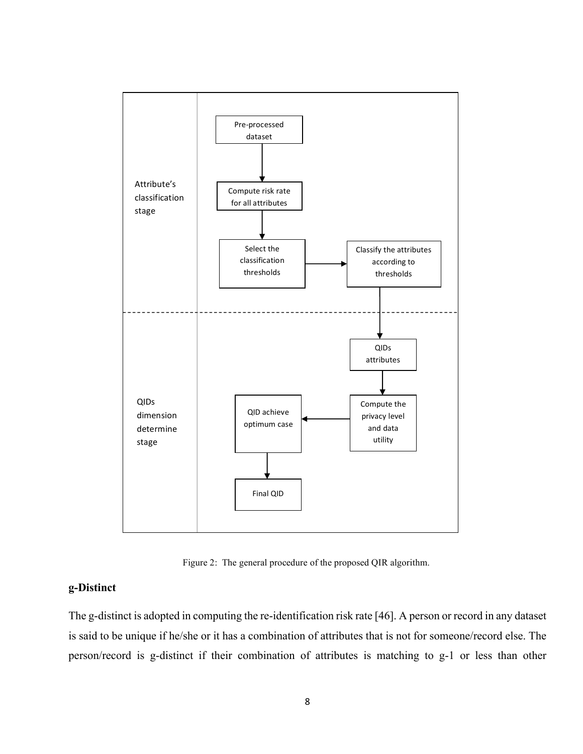

Figure 2: The general procedure of the proposed QIR algorithm.

### **g-Distinct**

The g-distinct is adopted in computing the re-identification risk rate [46]. A person or record in any dataset is said to be unique if he/she or it has a combination of attributes that is not for someone/record else. The person/record is g-distinct if their combination of attributes is matching to g-1 or less than other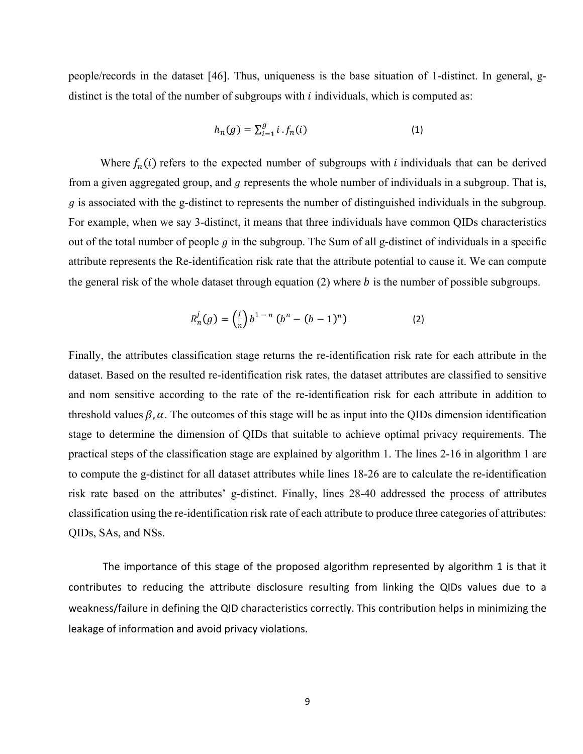people/records in the dataset [46]. Thus, uniqueness is the base situation of 1-distinct. In general, gdistinct is the total of the number of subgroups with  $i$  individuals, which is computed as:

$$
h_n(g) = \sum_{i=1}^{g} i \cdot f_n(i)
$$
 (1)

Where  $f_n(i)$  refers to the expected number of subgroups with *i* individuals that can be derived from a given aggregated group, and  $q$  represents the whole number of individuals in a subgroup. That is,  $g$  is associated with the g-distinct to represents the number of distinguished individuals in the subgroup. For example, when we say 3-distinct, it means that three individuals have common QIDs characteristics out of the total number of people  $g$  in the subgroup. The Sum of all g-distinct of individuals in a specific attribute represents the Re-identification risk rate that the attribute potential to cause it. We can compute the general risk of the whole dataset through equation  $(2)$  where *b* is the number of possible subgroups.

$$
R_n^j(g) = \left(\frac{j}{n}\right) b^{1-n} \left(b^n - (b-1)^n\right) \tag{2}
$$

Finally, the attributes classification stage returns the re-identification risk rate for each attribute in the dataset. Based on the resulted re-identification risk rates, the dataset attributes are classified to sensitive and nom sensitive according to the rate of the re-identification risk for each attribute in addition to threshold values  $\beta$ ,  $\alpha$ . The outcomes of this stage will be as input into the QIDs dimension identification stage to determine the dimension of QIDs that suitable to achieve optimal privacy requirements. The practical steps of the classification stage are explained by algorithm 1. The lines 2-16 in algorithm 1 are to compute the g-distinct for all dataset attributes while lines 18-26 are to calculate the re-identification risk rate based on the attributes' g-distinct. Finally, lines 28-40 addressed the process of attributes classification using the re-identification risk rate of each attribute to produce three categories of attributes: QIDs, SAs, and NSs.

The importance of this stage of the proposed algorithm represented by algorithm 1 is that it contributes to reducing the attribute disclosure resulting from linking the QIDs values due to a weakness/failure in defining the QID characteristics correctly. This contribution helps in minimizing the leakage of information and avoid privacy violations.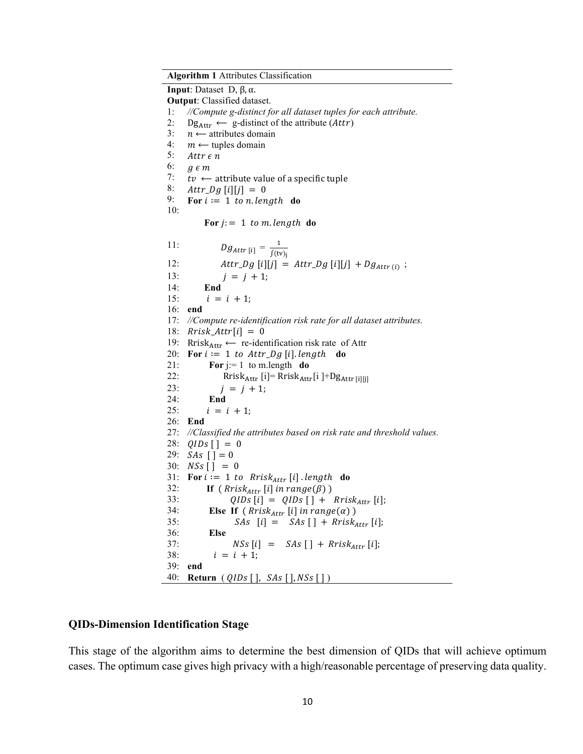**Algorithm 1** Attributes Classification **Input**: Dataset D, β, α. **Output**: Classified dataset. 1: *//Compute g-distinct for all dataset tuples for each attribute.*  $Dg_{\text{Attr}} \leftarrow g$ -distinct of the attribute (*Attr*)  $n \longleftarrow$  attributes domain  $m \leftarrow$  tuples domain Attr $\epsilon$ n  $g \in m$  $tv \leftarrow$  attribute value of a specific tuple  $Attr\_Dg[i][j] = 0$ For  $i := 1$  to n. length do For  $j := 1$  to m. length do 2: 3: 4: 5: 6: 7: 8: 9: 10: 11:  $Dg_{Attr[i]} = \frac{1}{\int (tv)_i}$ 12:  $Attr\_Dg[i][j] = Attr\_Dg[i][j] + Dg_{Attr(i)};$ 13:  $j = j + 1;$ 14: **End** 15:  $i = i + 1;$ 16: **end**  17: *//Compute re-identification risk rate for all dataset attributes.* 18:  $Rrisk\_Attr[i] = 0$ 19: Rrisk<sub>Attr</sub>  $\leftarrow$  re-identification risk rate of Attr 20: **For**  $i := 1$  to  $Attr\_Dg$  [i]. length **do** 21: **For** j:= 1 to m.length **do** 22: Rrisk<sub>Attr</sub> [i]= Rrisk<sub>Attr</sub>[i ]+Dg<sub>Attr</sub> [i][j] 23:  $i = j + 1$ ; 24: **End** 25:  $i = i + 1;$ 26: **End** 27: *//Classified the attributes based on risk rate and threshold values.* 28:  $QIDS$   $[$   $]$  = 0 29:  $SAs [$ ] = 0 30:  $NSS [$ ] = 0 31: **For**  $i := 1$  to Rrisk<sub>Attr</sub> [i] length **do**<br>32: **If**  $(Rrisk_{attr} [i] in range(\beta))$ **If** ( $Rrisk_{Attr}$  [i] in  $range(\beta)$ ) 33:  $QIDS[i] = QIDS[j] + Rrisk_{Attr}[i];$ <br>34: Else If (Rrisk<sub>attr</sub> [i] in range(a)) 34: **Else If**  $(Rrisk_{Attr}[i] \text{ in } range(\alpha))$ <br>35: SAs  $[i] = SAs [1 + Rrisk]$  $SAs$   $[i] = SAs$   $[ ] + Rrisk_{Attr} [i];$ 36: **Else**  37:  $NSS[i] = SAS[] + Rrisk_{attr}[i];$ 38:  $i = i + 1;$ 39: **end** 40: **Return** ( *QIDs* [ ], *SAs* [ ], *NSs* [ ] )

#### **QIDs-Dimension Identification Stage**

This stage of the algorithm aims to determine the best dimension of QIDs that will achieve optimum cases. The optimum case gives high privacy with a high/reasonable percentage of preserving data quality.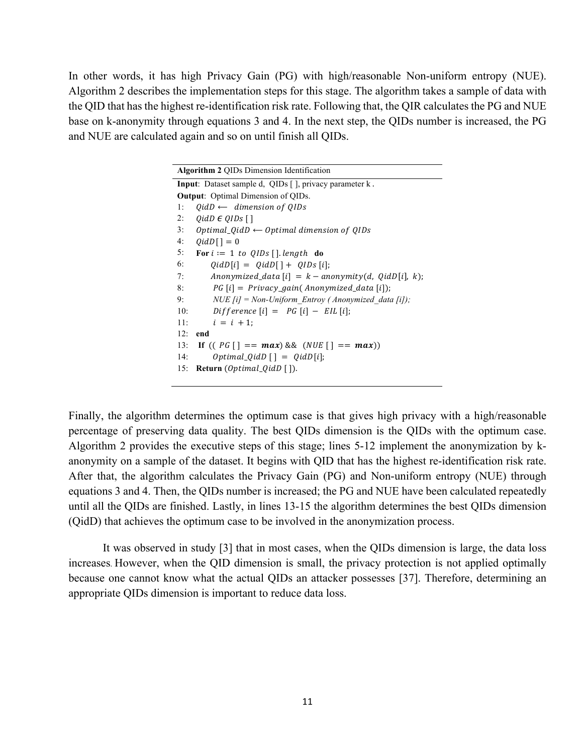In other words, it has high Privacy Gain (PG) with high/reasonable Non-uniform entropy (NUE). Algorithm 2 describes the implementation steps for this stage. The algorithm takes a sample of data with the QID that has the highest re-identification risk rate. Following that, the QIR calculates the PG and NUE base on k-anonymity through equations 3 and 4. In the next step, the QIDs number is increased, the PG and NUE are calculated again and so on until finish all QIDs.

| <b>Algorithm 2 QIDs Dimension Identification</b>               |
|----------------------------------------------------------------|
| <b>Input</b> : Dataset sample d, QIDs [], privacy parameter k. |
| <b>Output:</b> Optimal Dimension of QIDs.                      |
| $QidD \leftarrow$ dimension of QIDs<br>1:                      |
| $0idD \in OIDS$ [ ]<br>2:                                      |
| 3:<br>Optimal_QidD $\leftarrow$ Optimal dimension of QIDs      |
| 4:<br>$0idD[$ ] = 0                                            |
| 5:<br>For $i := 1$ to QIDs [] length do                        |
| 6:<br>$QidD[i] = QidD[] + QIDS[i];$                            |
| Anonymized_data [i] = $k$ – anonymity(d, QidD[i], k);<br>7:    |
| $PG[i] = Privacy\_gain(Anonymized\_data[i]);$<br>8:            |
| NUE [i] = Non-Uniform Entroy (Anonymized data [i]);<br>9:      |
| $Difference [i] = PG[i] - EIL[i];$<br>10:                      |
| 11:<br>$i = i + 1$ :                                           |
| 12:<br>end                                                     |
| If $((PG \mid == max) \& (NUE \mid ) == max))$<br>13:          |
| $Optimal\_QidD \lceil \cdot \rceil = QidD[i];$<br>14:          |
| <b>Return</b> ( <i>Optimal_QidD</i> []).<br>15:                |

Finally, the algorithm determines the optimum case is that gives high privacy with a high/reasonable percentage of preserving data quality. The best QIDs dimension is the QIDs with the optimum case. Algorithm 2 provides the executive steps of this stage; lines 5-12 implement the anonymization by kanonymity on a sample of the dataset. It begins with QID that has the highest re-identification risk rate. After that, the algorithm calculates the Privacy Gain (PG) and Non-uniform entropy (NUE) through equations 3 and 4. Then, the QIDs number is increased; the PG and NUE have been calculated repeatedly until all the QIDs are finished. Lastly, in lines 13-15 the algorithm determines the best QIDs dimension (QidD) that achieves the optimum case to be involved in the anonymization process.

It was observed in study [3] that in most cases, when the QIDs dimension is large, the data loss increases. However, when the QID dimension is small, the privacy protection is not applied optimally because one cannot know what the actual QIDs an attacker possesses [37]. Therefore, determining an appropriate QIDs dimension is important to reduce data loss.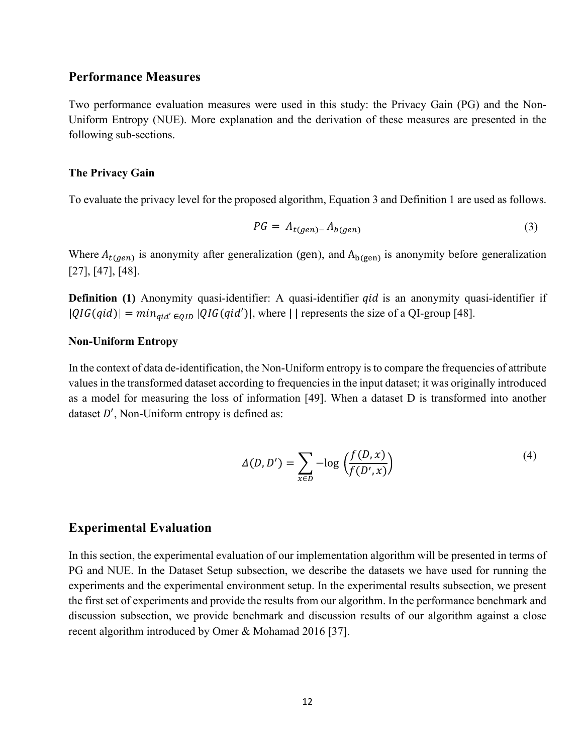### **Performance Measures**

Two performance evaluation measures were used in this study: the Privacy Gain (PG) and the Non-Uniform Entropy (NUE). More explanation and the derivation of these measures are presented in the following sub-sections.

#### **The Privacy Gain**

To evaluate the privacy level for the proposed algorithm, Equation 3 and Definition 1 are used as follows.

$$
PG = A_{t(gen)-} A_{b(gen)} \tag{3}
$$

Where  $A_{t(gen)}$  is anonymity after generalization (gen), and  $A_{b(gen)}$  is anonymity before generalization [27], [47], [48].

**Definition (1)** Anonymity quasi-identifier: A quasi-identifier *qid* is an anonymity quasi-identifier if  $|QIG(qid)| = min_{qid' \in OID} |QIG(qid')|$ , where || represents the size of a QI-group [48].

#### **Non-Uniform Entropy**

In the context of data de-identification, the Non-Uniform entropy is to compare the frequencies of attribute values in the transformed dataset according to frequencies in the input dataset; it was originally introduced as a model for measuring the loss of information [49]. When a dataset D is transformed into another dataset  $D'$ , Non-Uniform entropy is defined as:

$$
\Delta(D, D') = \sum_{x \in D} -\log \left( \frac{f(D, x)}{f(D', x)} \right) \tag{4}
$$

#### **Experimental Evaluation**

In this section, the experimental evaluation of our implementation algorithm will be presented in terms of PG and NUE. In the Dataset Setup subsection, we describe the datasets we have used for running the experiments and the experimental environment setup. In the experimental results subsection, we present the first set of experiments and provide the results from our algorithm. In the performance benchmark and discussion subsection, we provide benchmark and discussion results of our algorithm against a close recent algorithm introduced by Omer & Mohamad 2016 [37].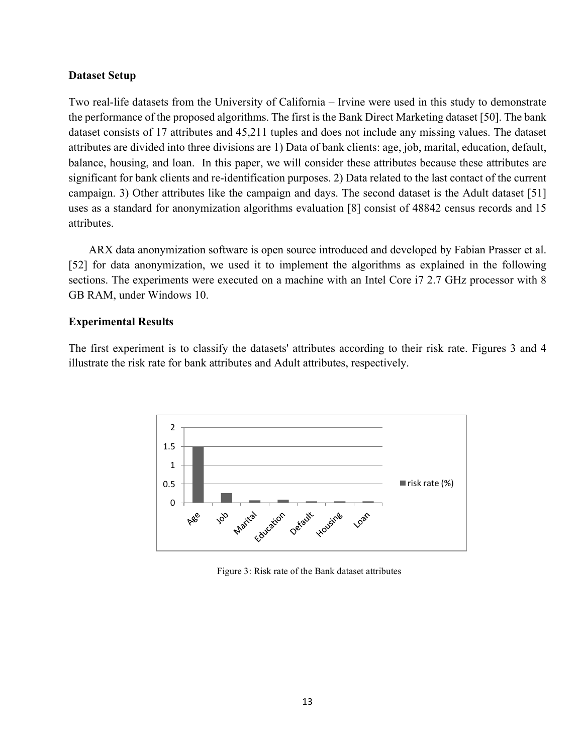#### **Dataset Setup**

Two real-life datasets from the University of California – Irvine were used in this study to demonstrate the performance of the proposed algorithms. The first is the Bank Direct Marketing dataset [50]. The bank dataset consists of 17 attributes and 45,211 tuples and does not include any missing values. The dataset attributes are divided into three divisions are 1) Data of bank clients: age, job, marital, education, default, balance, housing, and loan. In this paper, we will consider these attributes because these attributes are significant for bank clients and re-identification purposes. 2) Data related to the last contact of the current campaign. 3) Other attributes like the campaign and days. The second dataset is the Adult dataset [51] uses as a standard for anonymization algorithms evaluation [8] consist of 48842 census records and 15 attributes.

ARX data anonymization software is open source introduced and developed by Fabian Prasser et al. [52] for data anonymization, we used it to implement the algorithms as explained in the following sections. The experiments were executed on a machine with an Intel Core i7 2.7 GHz processor with 8 GB RAM, under Windows 10.

#### **Experimental Results**

The first experiment is to classify the datasets' attributes according to their risk rate. Figures 3 and 4 illustrate the risk rate for bank attributes and Adult attributes, respectively.



Figure 3: Risk rate of the Bank dataset attributes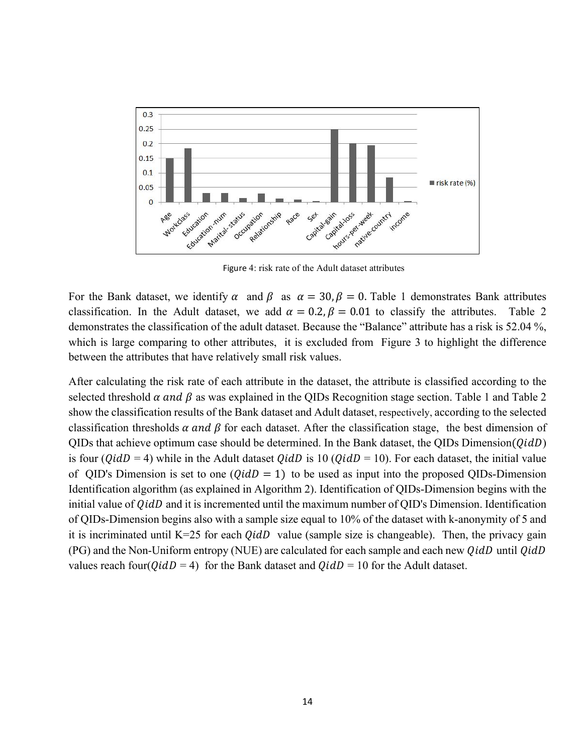

Figure 4: risk rate of the Adult dataset attributes

For the Bank dataset, we identify  $\alpha$  and  $\beta$  as  $\alpha = 30$ ,  $\beta = 0$ . Table 1 demonstrates Bank attributes classification. In the Adult dataset, we add  $\alpha = 0.2$ ,  $\beta = 0.01$  to classify the attributes. Table 2 demonstrates the classification of the adult dataset. Because the "Balance" attribute has a risk is 52.04 %, which is large comparing to other attributes, it is excluded from Figure 3 to highlight the difference between the attributes that have relatively small risk values.

After calculating the risk rate of each attribute in the dataset, the attribute is classified according to the selected threshold  $\alpha$  and  $\beta$  as was explained in the QIDs Recognition stage section. Table 1 and Table 2 show the classification results of the Bank dataset and Adult dataset, respectively, according to the selected classification thresholds  $\alpha$  and  $\beta$  for each dataset. After the classification stage, the best dimension of QIDs that achieve optimum case should be determined. In the Bank dataset, the QIDs Dimension( $QidD$ ) is four ( $QidD = 4$ ) while in the Adult dataset  $QidD$  is 10 ( $QidD = 10$ ). For each dataset, the initial value of QID's Dimension is set to one  $(QidD = 1)$  to be used as input into the proposed QIDs-Dimension Identification algorithm (as explained in Algorithm 2). Identification of QIDs-Dimension begins with the initial value of  $QidD$  and it is incremented until the maximum number of QID's Dimension. Identification of QIDs-Dimension begins also with a sample size equal to 10% of the dataset with k-anonymity of 5 and it is incriminated until K=25 for each  $QidD$  value (sample size is changeable). Then, the privacy gain  $(PG)$  and the Non-Uniform entropy (NUE) are calculated for each sample and each new  $QidD$  until  $QidD$ values reach four( $QidD = 4$ ) for the Bank dataset and  $QidD = 10$  for the Adult dataset.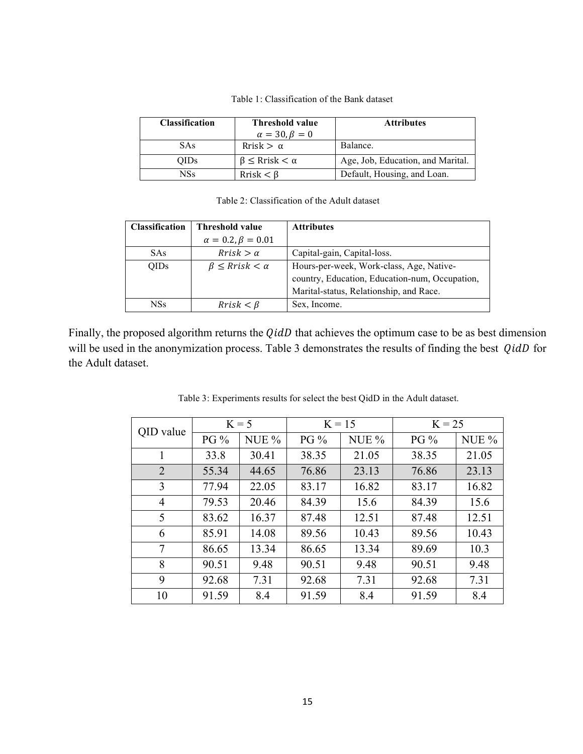| <b>Classification</b> | <b>Threshold value</b>        | <b>Attributes</b>                 |
|-----------------------|-------------------------------|-----------------------------------|
|                       | $\alpha = 30, \beta = 0$      |                                   |
| <b>SAs</b>            | Rrisk $>\alpha$               | Balance.                          |
| <b>OIDs</b>           | $\beta \leq$ Rrisk $< \alpha$ | Age, Job, Education, and Marital. |
| NSs                   | $Rrisk < \beta$               | Default, Housing, and Loan.       |

Table 1: Classification of the Bank dataset

| Table 2: Classification of the Adult dataset |  |
|----------------------------------------------|--|
|----------------------------------------------|--|

| <b>Classification</b> | <b>Threshold value</b>       | <b>Attributes</b>                              |
|-----------------------|------------------------------|------------------------------------------------|
|                       | $\alpha = 0.2, \beta = 0.01$ |                                                |
| <b>SAs</b>            | $Rrisk > \alpha$             | Capital-gain, Capital-loss.                    |
| <b>OIDs</b>           | $\beta \leq Rrisk < \alpha$  | Hours-per-week, Work-class, Age, Native-       |
|                       |                              | country, Education, Education-num, Occupation, |
|                       |                              | Marital-status, Relationship, and Race.        |
| NSs                   | $Rrisk < \beta$              | Sex, Income.                                   |

Finally, the proposed algorithm returns the  $Q \in \mathcal{U}$  that achieves the optimum case to be as best dimension will be used in the anonymization process. Table 3 demonstrates the results of finding the best  $QidD$  for the Adult dataset.

| QID value      | $K = 5$ |         | $K = 15$ |       | $K = 25$ |       |  |
|----------------|---------|---------|----------|-------|----------|-------|--|
|                | $PG\%$  | NUE $%$ | $PG\%$   | NUE % | $PG\%$   | NUE % |  |
| 1              | 33.8    | 30.41   | 38.35    | 21.05 | 38.35    | 21.05 |  |
| $\overline{2}$ | 55.34   | 44.65   | 76.86    | 23.13 | 76.86    | 23.13 |  |
| 3              | 77.94   | 22.05   | 83.17    | 16.82 | 83.17    | 16.82 |  |
| $\overline{4}$ | 79.53   | 20.46   | 84.39    | 15.6  | 84.39    | 15.6  |  |
| 5              | 83.62   | 16.37   | 87.48    | 12.51 | 87.48    | 12.51 |  |
| 6              | 85.91   | 14.08   | 89.56    | 10.43 | 89.56    | 10.43 |  |
| 7              | 86.65   | 13.34   | 86.65    | 13.34 | 89.69    | 10.3  |  |
| 8              | 90.51   | 9.48    | 90.51    | 9.48  | 90.51    | 9.48  |  |
| 9              | 92.68   | 7.31    | 92.68    | 7.31  | 92.68    | 7.31  |  |
| 10             | 91.59   | 8.4     | 91.59    | 8.4   | 91.59    | 8.4   |  |

Table 3: Experiments results for select the best QidD in the Adult dataset.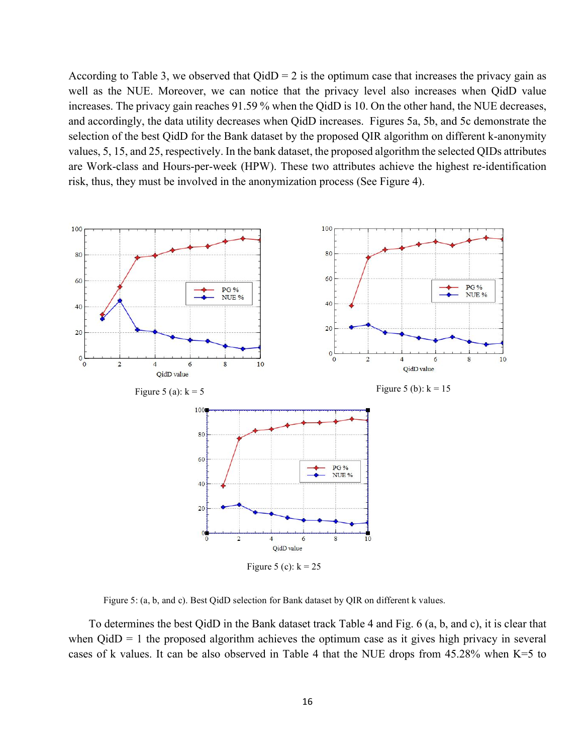According to Table 3, we observed that  $Q \text{id}D = 2$  is the optimum case that increases the privacy gain as well as the NUE. Moreover, we can notice that the privacy level also increases when QidD value increases. The privacy gain reaches 91.59 % when the QidD is 10. On the other hand, the NUE decreases, and accordingly, the data utility decreases when QidD increases. Figures 5a, 5b, and 5c demonstrate the selection of the best QidD for the Bank dataset by the proposed QIR algorithm on different k-anonymity values, 5, 15, and 25, respectively. In the bank dataset, the proposed algorithm the selected QIDs attributes are Work-class and Hours-per-week (HPW). These two attributes achieve the highest re-identification risk, thus, they must be involved in the anonymization process (See Figure 4).



Figure 5: (a, b, and c). Best QidD selection for Bank dataset by QIR on different k values.

To determines the best QidD in the Bank dataset track Table 4 and Fig. 6 (a, b, and c), it is clear that when  $Q$ id $D = 1$  the proposed algorithm achieves the optimum case as it gives high privacy in several cases of k values. It can be also observed in Table 4 that the NUE drops from 45.28% when K=5 to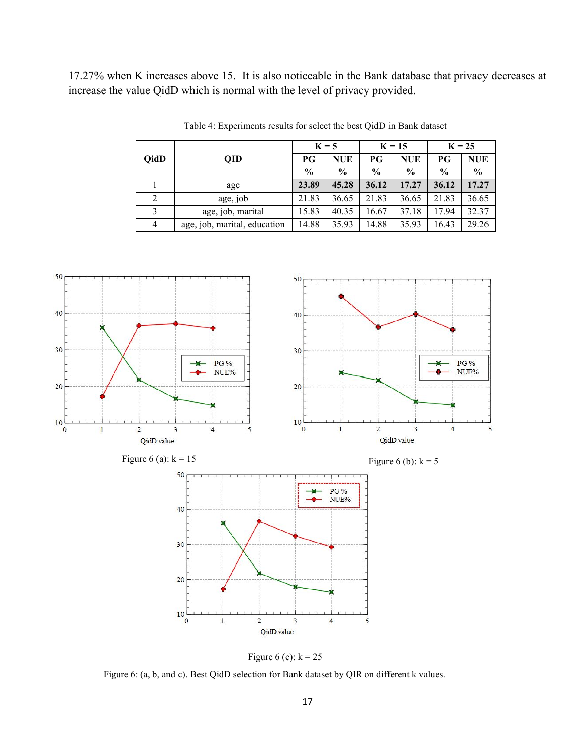17.27% when K increases above 15. It is also noticeable in the Bank database that privacy decreases at increase the value QidD which is normal with the level of privacy provided.

|             |                              | $K = 5$       |               | $K = 15$ |               | $K = 25$      |               |
|-------------|------------------------------|---------------|---------------|----------|---------------|---------------|---------------|
| <b>QidD</b> | QID                          | РG            | <b>NUE</b>    | РG       | <b>NUE</b>    | РG            | <b>NUE</b>    |
|             |                              | $\frac{6}{9}$ | $\frac{0}{0}$ | $\%$     | $\frac{0}{0}$ | $\frac{0}{0}$ | $\frac{0}{0}$ |
|             | age                          | 23.89         | 45.28         | 36.12    | 17.27         | 36.12         | 17.27         |
|             | age, job                     | 21.83         | 36.65         | 21.83    | 36.65         | 21.83         | 36.65         |
|             | age, job, marital            | 15.83         | 40.35         | 16.67    | 37.18         | 17.94         | 32.37         |
| 4           | age, job, marital, education | 14.88         | 35.93         | 14.88    | 35.93         | 16.43         | 29.26         |

Table 4: Experiments results for select the best QidD in Bank dataset



Figure 6 (c):  $k = 25$ 

Figure 6: (a, b, and c). Best QidD selection for Bank dataset by QIR on different k values.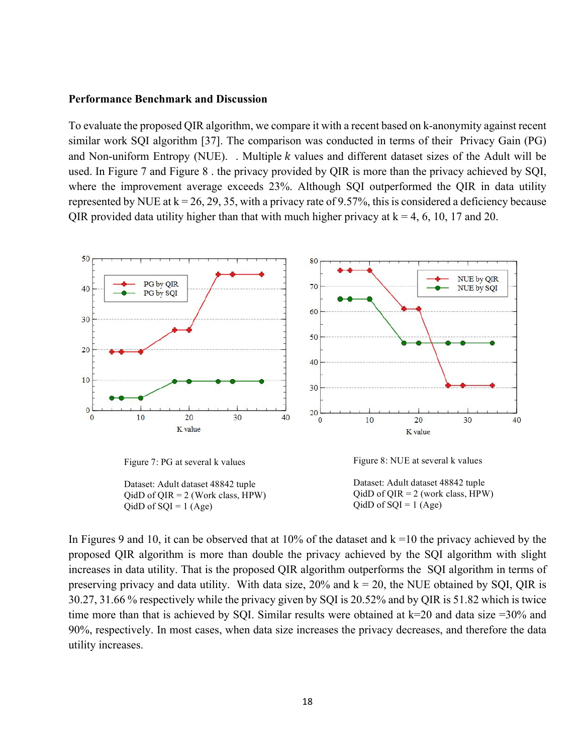#### **Performance Benchmark and Discussion**

To evaluate the proposed QIR algorithm, we compare it with a recent based on k-anonymity against recent similar work SQI algorithm [37]. The comparison was conducted in terms of their Privacy Gain (PG) and Non-uniform Entropy (NUE). . Multiple  $k$  values and different dataset sizes of the Adult will be used. In Figure 7 and Figure 8 . the privacy provided by QIR is more than the privacy achieved by SQI, where the improvement average exceeds 23%. Although SQI outperformed the QIR in data utility represented by NUE at  $k = 26, 29, 35$ , with a privacy rate of 9.57%, this is considered a deficiency because QIR provided data utility higher than that with much higher privacy at  $k = 4, 6, 10, 17$  and 20.



Figure 7: PG at several k values

Dataset: Adult dataset 48842 tuple  $QidD$  of  $QIR = 2$  (Work class, HPW)  $QidD$  of  $SQL = 1$  (Age)

Figure 8: NUE at several k values

Dataset: Adult dataset 48842 tuple  $QidD$  of  $QIR = 2$  (work class, HPW)  $QidD$  of  $SQI = 1$  (Age)

In Figures 9 and 10, it can be observed that at 10% of the dataset and  $k = 10$  the privacy achieved by the proposed QIR algorithm is more than double the privacy achieved by the SQI algorithm with slight increases in data utility. That is the proposed QIR algorithm outperforms the SQI algorithm in terms of preserving privacy and data utility. With data size,  $20\%$  and  $k = 20$ , the NUE obtained by SQI, QIR is 30.27, 31.66 % respectively while the privacy given by SQI is 20.52% and by QIR is 51.82 which is twice time more than that is achieved by SQI. Similar results were obtained at  $k=20$  and data size  $=30\%$  and 90%, respectively. In most cases, when data size increases the privacy decreases, and therefore the data utility increases.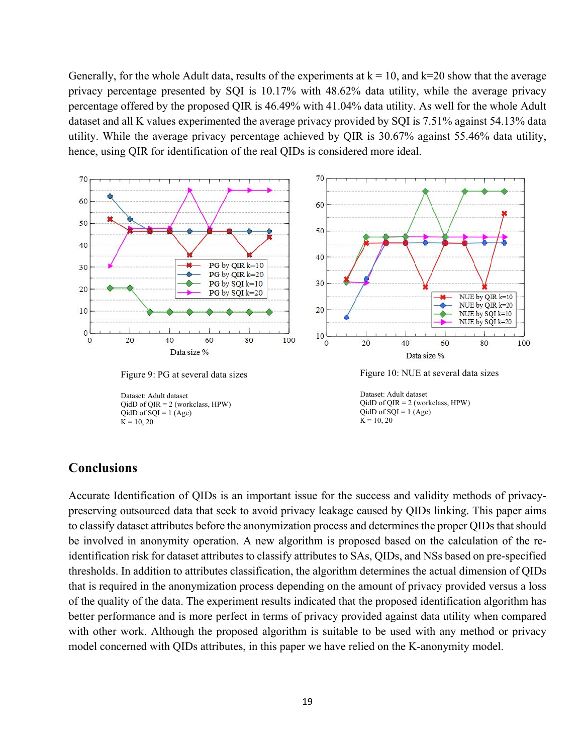Generally, for the whole Adult data, results of the experiments at  $k = 10$ , and  $k=20$  show that the average privacy percentage presented by SQI is 10.17% with 48.62% data utility, while the average privacy percentage offered by the proposed QIR is 46.49% with 41.04% data utility. As well for the whole Adult dataset and all K values experimented the average privacy provided by SQI is 7.51% against 54.13% data utility. While the average privacy percentage achieved by QIR is 30.67% against 55.46% data utility, hence, using QIR for identification of the real QIDs is considered more ideal.



### **Conclusions**

Accurate Identification of QIDs is an important issue for the success and validity methods of privacypreserving outsourced data that seek to avoid privacy leakage caused by QIDs linking. This paper aims to classify dataset attributes before the anonymization process and determines the proper QIDs that should be involved in anonymity operation. A new algorithm is proposed based on the calculation of the reidentification risk for dataset attributes to classify attributes to SAs, QIDs, and NSs based on pre-specified thresholds. In addition to attributes classification, the algorithm determines the actual dimension of QIDs that is required in the anonymization process depending on the amount of privacy provided versus a loss of the quality of the data. The experiment results indicated that the proposed identification algorithm has better performance and is more perfect in terms of privacy provided against data utility when compared with other work. Although the proposed algorithm is suitable to be used with any method or privacy model concerned with QIDs attributes, in this paper we have relied on the K-anonymity model.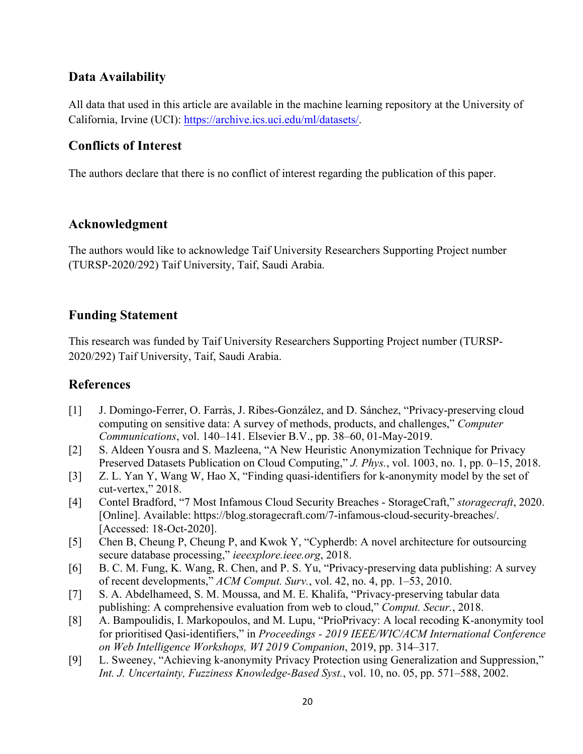# **Data Availability**

All data that used in this article are available in the machine learning repository at the University of California, Irvine (UCI): https://archive.ics.uci.edu/ml/datasets/.

# **Conflicts of Interest**

The authors declare that there is no conflict of interest regarding the publication of this paper.

### **Acknowledgment**

The authors would like to acknowledge Taif University Researchers Supporting Project number (TURSP-2020/292) Taif University, Taif, Saudi Arabia.

### **Funding Statement**

This research was funded by Taif University Researchers Supporting Project number (TURSP-2020/292) Taif University, Taif, Saudi Arabia.

## **References**

- [1] J. Domingo-Ferrer, O. Farràs, J. Ribes-González, and D. Sánchez, "Privacy-preserving cloud computing on sensitive data: A survey of methods, products, and challenges," *Computer Communications*, vol. 140–141. Elsevier B.V., pp. 38–60, 01-May-2019.
- [2] S. Aldeen Yousra and S. Mazleena, "A New Heuristic Anonymization Technique for Privacy Preserved Datasets Publication on Cloud Computing," *J. Phys.*, vol. 1003, no. 1, pp. 0–15, 2018.
- [3] Z. L. Yan Y, Wang W, Hao X, "Finding quasi-identifiers for k-anonymity model by the set of cut-vertex," 2018.
- [4] Contel Bradford, "7 Most Infamous Cloud Security Breaches StorageCraft," *storagecraft*, 2020. [Online]. Available: https://blog.storagecraft.com/7-infamous-cloud-security-breaches/. [Accessed: 18-Oct-2020].
- [5] Chen B, Cheung P, Cheung P, and Kwok Y, "Cypherdb: A novel architecture for outsourcing secure database processing," *ieeexplore.ieee.org*, 2018.
- [6] B. C. M. Fung, K. Wang, R. Chen, and P. S. Yu, "Privacy-preserving data publishing: A survey of recent developments," *ACM Comput. Surv.*, vol. 42, no. 4, pp. 1–53, 2010.
- [7] S. A. Abdelhameed, S. M. Moussa, and M. E. Khalifa, "Privacy-preserving tabular data publishing: A comprehensive evaluation from web to cloud," *Comput. Secur.*, 2018.
- [8] A. Bampoulidis, I. Markopoulos, and M. Lupu, "PrioPrivacy: A local recoding K-anonymity tool for prioritised Qasi-identifiers," in *Proceedings - 2019 IEEE/WIC/ACM International Conference on Web Intelligence Workshops, WI 2019 Companion*, 2019, pp. 314–317.
- [9] L. Sweeney, "Achieving k-anonymity Privacy Protection using Generalization and Suppression," *Int. J. Uncertainty, Fuzziness Knowledge-Based Syst.*, vol. 10, no. 05, pp. 571–588, 2002.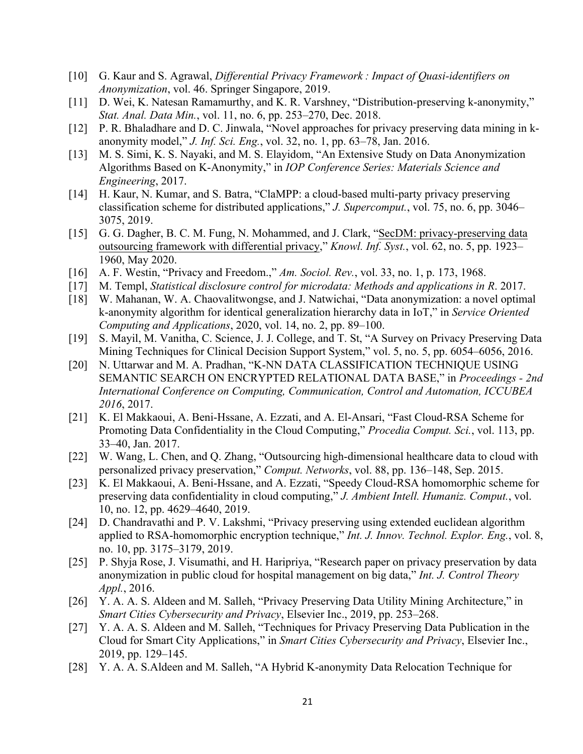- [10] G. Kaur and S. Agrawal, *Differential Privacy Framework : Impact of Quasi-identifiers on Anonymization*, vol. 46. Springer Singapore, 2019.
- [11] D. Wei, K. Natesan Ramamurthy, and K. R. Varshney, "Distribution-preserving k-anonymity," *Stat. Anal. Data Min.*, vol. 11, no. 6, pp. 253–270, Dec. 2018.
- [12] P. R. Bhaladhare and D. C. Jinwala, "Novel approaches for privacy preserving data mining in kanonymity model," *J. Inf. Sci. Eng.*, vol. 32, no. 1, pp. 63–78, Jan. 2016.
- [13] M. S. Simi, K. S. Nayaki, and M. S. Elayidom, "An Extensive Study on Data Anonymization Algorithms Based on K-Anonymity," in *IOP Conference Series: Materials Science and Engineering*, 2017.
- [14] H. Kaur, N. Kumar, and S. Batra, "ClaMPP: a cloud-based multi-party privacy preserving classification scheme for distributed applications," *J. Supercomput.*, vol. 75, no. 6, pp. 3046– 3075, 2019.
- [15] G. G. Dagher, B. C. M. Fung, N. Mohammed, and J. Clark, "SecDM: privacy-preserving data outsourcing framework with differential privacy," *Knowl. Inf. Syst.*, vol. 62, no. 5, pp. 1923– 1960, May 2020.
- [16] A. F. Westin, "Privacy and Freedom.," *Am. Sociol. Rev.*, vol. 33, no. 1, p. 173, 1968.
- [17] M. Templ, *Statistical disclosure control for microdata: Methods and applications in R*. 2017.
- [18] W. Mahanan, W. A. Chaovalitwongse, and J. Natwichai, "Data anonymization: a novel optimal k-anonymity algorithm for identical generalization hierarchy data in IoT," in *Service Oriented Computing and Applications*, 2020, vol. 14, no. 2, pp. 89–100.
- [19] S. Mayil, M. Vanitha, C. Science, J. J. College, and T. St, "A Survey on Privacy Preserving Data Mining Techniques for Clinical Decision Support System," vol. 5, no. 5, pp. 6054–6056, 2016.
- [20] N. Uttarwar and M. A. Pradhan, "K-NN DATA CLASSIFICATION TECHNIQUE USING SEMANTIC SEARCH ON ENCRYPTED RELATIONAL DATA BASE," in *Proceedings - 2nd International Conference on Computing, Communication, Control and Automation, ICCUBEA 2016*, 2017.
- [21] K. El Makkaoui, A. Beni-Hssane, A. Ezzati, and A. El-Ansari, "Fast Cloud-RSA Scheme for Promoting Data Confidentiality in the Cloud Computing," *Procedia Comput. Sci.*, vol. 113, pp. 33–40, Jan. 2017.
- [22] W. Wang, L. Chen, and Q. Zhang, "Outsourcing high-dimensional healthcare data to cloud with personalized privacy preservation," *Comput. Networks*, vol. 88, pp. 136–148, Sep. 2015.
- [23] K. El Makkaoui, A. Beni-Hssane, and A. Ezzati, "Speedy Cloud-RSA homomorphic scheme for preserving data confidentiality in cloud computing," *J. Ambient Intell. Humaniz. Comput.*, vol. 10, no. 12, pp. 4629–4640, 2019.
- [24] D. Chandravathi and P. V. Lakshmi, "Privacy preserving using extended euclidean algorithm applied to RSA-homomorphic encryption technique," *Int. J. Innov. Technol. Explor. Eng.*, vol. 8, no. 10, pp. 3175–3179, 2019.
- [25] P. Shyja Rose, J. Visumathi, and H. Haripriya, "Research paper on privacy preservation by data anonymization in public cloud for hospital management on big data," *Int. J. Control Theory Appl.*, 2016.
- [26] Y. A. A. S. Aldeen and M. Salleh, "Privacy Preserving Data Utility Mining Architecture," in *Smart Cities Cybersecurity and Privacy*, Elsevier Inc., 2019, pp. 253–268.
- [27] Y. A. A. S. Aldeen and M. Salleh, "Techniques for Privacy Preserving Data Publication in the Cloud for Smart City Applications," in *Smart Cities Cybersecurity and Privacy*, Elsevier Inc., 2019, pp. 129–145.
- [28] Y. A. A. S. Aldeen and M. Salleh, "A Hybrid K-anonymity Data Relocation Technique for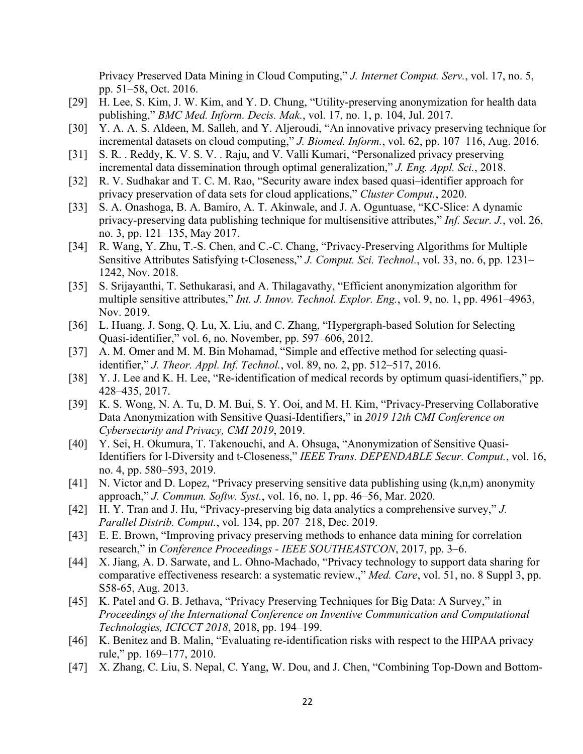Privacy Preserved Data Mining in Cloud Computing," *J. Internet Comput. Serv.*, vol. 17, no. 5, pp. 51–58, Oct. 2016.

- [29] H. Lee, S. Kim, J. W. Kim, and Y. D. Chung, "Utility-preserving anonymization for health data publishing," *BMC Med. Inform. Decis. Mak.*, vol. 17, no. 1, p. 104, Jul. 2017.
- [30] Y. A. A. S. Aldeen, M. Salleh, and Y. Aljeroudi, "An innovative privacy preserving technique for incremental datasets on cloud computing," *J. Biomed. Inform.*, vol. 62, pp. 107–116, Aug. 2016.
- [31] S. R. . Reddy, K. V. S. V. . Raju, and V. Valli Kumari, "Personalized privacy preserving incremental data dissemination through optimal generalization," *J. Eng. Appl. Sci.*, 2018.
- [32] R. V. Sudhakar and T. C. M. Rao, "Security aware index based quasi–identifier approach for privacy preservation of data sets for cloud applications," *Cluster Comput.*, 2020.
- [33] S. A. Onashoga, B. A. Bamiro, A. T. Akinwale, and J. A. Oguntuase, "KC-Slice: A dynamic privacy-preserving data publishing technique for multisensitive attributes," *Inf. Secur. J.*, vol. 26, no. 3, pp. 121–135, May 2017.
- [34] R. Wang, Y. Zhu, T.-S. Chen, and C.-C. Chang, "Privacy-Preserving Algorithms for Multiple Sensitive Attributes Satisfying t-Closeness," *J. Comput. Sci. Technol.*, vol. 33, no. 6, pp. 1231– 1242, Nov. 2018.
- [35] S. Srijayanthi, T. Sethukarasi, and A. Thilagavathy, "Efficient anonymization algorithm for multiple sensitive attributes," *Int. J. Innov. Technol. Explor. Eng.*, vol. 9, no. 1, pp. 4961–4963, Nov. 2019.
- [36] L. Huang, J. Song, Q. Lu, X. Liu, and C. Zhang, "Hypergraph-based Solution for Selecting Quasi-identifier," vol. 6, no. November, pp. 597–606, 2012.
- [37] A. M. Omer and M. M. Bin Mohamad, "Simple and effective method for selecting quasiidentifier," *J. Theor. Appl. Inf. Technol.*, vol. 89, no. 2, pp. 512–517, 2016.
- [38] Y. J. Lee and K. H. Lee, "Re-identification of medical records by optimum quasi-identifiers," pp. 428–435, 2017.
- [39] K. S. Wong, N. A. Tu, D. M. Bui, S. Y. Ooi, and M. H. Kim, "Privacy-Preserving Collaborative Data Anonymization with Sensitive Quasi-Identifiers," in *2019 12th CMI Conference on Cybersecurity and Privacy, CMI 2019*, 2019.
- [40] Y. Sei, H. Okumura, T. Takenouchi, and A. Ohsuga, "Anonymization of Sensitive Quasi-Identifiers for l-Diversity and t-Closeness," *IEEE Trans. DEPENDABLE Secur. Comput.*, vol. 16, no. 4, pp. 580–593, 2019.
- [41] N. Victor and D. Lopez, "Privacy preserving sensitive data publishing using (k,n,m) anonymity approach," *J. Commun. Softw. Syst.*, vol. 16, no. 1, pp. 46–56, Mar. 2020.
- [42] H. Y. Tran and J. Hu, "Privacy-preserving big data analytics a comprehensive survey," *J. Parallel Distrib. Comput.*, vol. 134, pp. 207–218, Dec. 2019.
- [43] E. E. Brown, "Improving privacy preserving methods to enhance data mining for correlation research," in *Conference Proceedings - IEEE SOUTHEASTCON*, 2017, pp. 3–6.
- [44] X. Jiang, A. D. Sarwate, and L. Ohno-Machado, "Privacy technology to support data sharing for comparative effectiveness research: a systematic review.," *Med. Care*, vol. 51, no. 8 Suppl 3, pp. S58-65, Aug. 2013.
- [45] K. Patel and G. B. Jethava, "Privacy Preserving Techniques for Big Data: A Survey," in *Proceedings of the International Conference on Inventive Communication and Computational Technologies, ICICCT 2018*, 2018, pp. 194–199.
- [46] K. Benitez and B. Malin, "Evaluating re-identification risks with respect to the HIPAA privacy rule," pp. 169–177, 2010.
- [47] X. Zhang, C. Liu, S. Nepal, C. Yang, W. Dou, and J. Chen, "Combining Top-Down and Bottom-